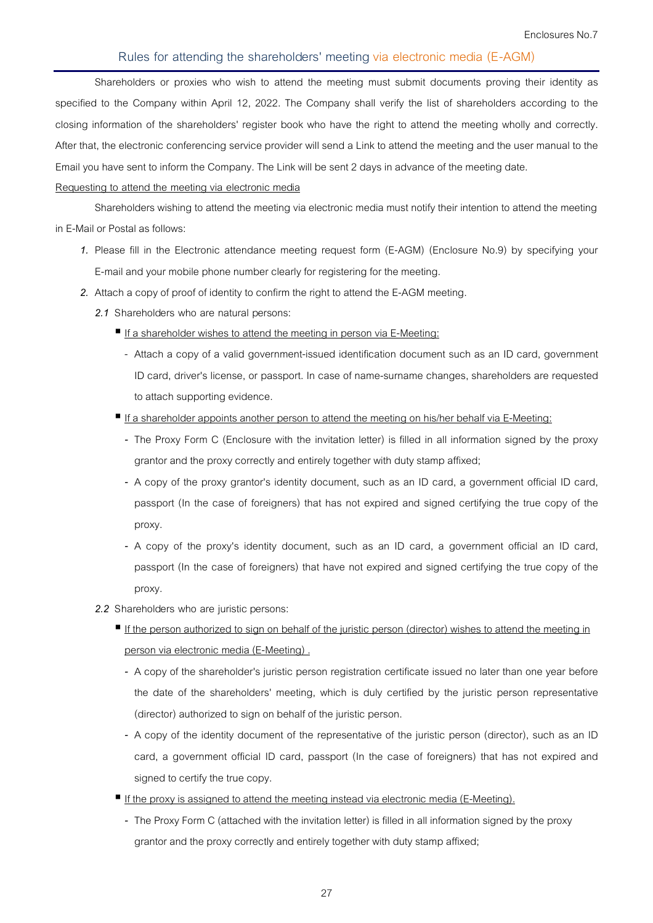Shareholders or proxies who wish to attend the meeting must submit documents proving their identity as specified to the Company within April 12, 2022. The Company shall verify the list of shareholders according to the closing information of the shareholders' register book who have the right to attend the meeting wholly and correctly. After that, the electronic conferencing service provider will send a Link to attend the meeting and the user manual to the Email you have sent to inform the Company. The Link will be sent 2 days in advance of the meeting date.

#### **Requesting to attend the meeting via electronic media**

Shareholders wishing to attend the meeting via electronic media must notify their intention to attend the meeting in E-Mail or Postal as follows:

- 1. Please fill in the Electronic attendance meeting request form (E-AGM) (Enclosure No.9) by specifying your E-mail and your mobile phone number clearly for registering for the meeting.
- 2. Attach a copy of proof of identity to confirm the right to attend the E-AGM meeting.
	- **2.1 Shareholders who are natural persons:** 
		- If a shareholder wishes to attend the meeting in person via E-Meeting:
			- Attach a copy of a valid government-issued identification document such as an ID card, government ID card, driver's license, or passport. In case of name-surname changes, shareholders are requested to attach supporting evidence.
		- If a shareholder appoints another person to attend the meeting on his/her behalf via E-Meeting:
			- The Proxy Form C (Enclosure with the invitation letter) is filled in all information signed by the proxy grantor and the proxy correctly and entirely together with duty stamp affixed;
			- A copy of the proxy grantor's identity document, such as an ID card, a government official ID card, passport (In the case of foreigners) that has not expired and signed certifying the true copy of the proxy.
			- A copy of the proxy's identity document, such as an ID card, a government official an ID card, passport (In the case of foreigners) that have not expired and signed certifying the true copy of the proxy.
	- **2.2 Shareholders who are juristic persons:** 
		- If the person authorized to sign on behalf of the juristic person (director) wishes to attend the meeting in person via electronic media (E-Meeting) .
			- A copy of the shareholder's juristic person registration certificate issued no later than one year before the date of the shareholders' meeting, which is duly certified by the juristic person representative (director) authorized to sign on behalf of the juristic person.
			- A copy of the identity document of the representative of the juristic person (director), such as an ID card, a government official ID card, passport (In the case of foreigners) that has not expired and signed to certify the true copy.
		- If the proxy is assigned to attend the meeting instead via electronic media (E-Meeting).
			- The Proxy Form C (attached with the invitation letter) is filled in all information signed by the proxy grantor and the proxy correctly and entirely together with duty stamp affixed;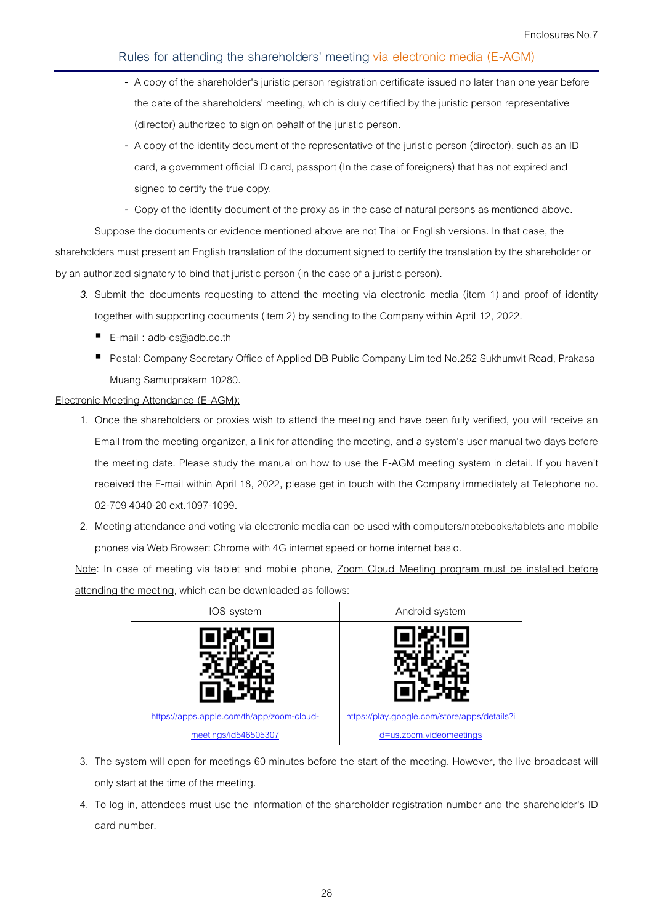- A copy of the shareholder's juristic person registration certificate issued no later than one year before the date of the shareholders' meeting, which is duly certified by the juristic person representative (director) authorized to sign on behalf of the juristic person.
- A copy of the identity document of the representative of the juristic person (director), such as an ID card, a government official ID card, passport (In the case of foreigners) that has not expired and signed to certify the true copy.
- Copy of the identity document of the proxy as in the case of natural persons as mentioned above.

Suppose the documents or evidence mentioned above are not Thai or English versions. In that case, the shareholders must present an English translation of the document signed to certify the translation by the shareholder or by an authorized signatory to bind that juristic person (in the case of a juristic person).

- 3. Submit the documents requesting to attend the meeting via electronic media (item 1) and proof of identity together with supporting documents (item 2) by sending to the Company <u>within April 12, 2022.</u>
	- E-mail : adb-cs@adb.co.th
	- **P** Postal: Company Secretary Office of Applied DB Public Company Limited No.252 Sukhumvit Road, Prakasa Muang Samutprakarn 10280 10280.

## **Electronic Meeting Attendance (E-AGM): AGM):**

- 1. Once the shareholders or proxies wish to attend the meeting and have been fully verified, you will receive an Email from the meeting organizer, a link for attending the meeting, and a system's user manual two days before the meeting date. Please study the manual on how to use the E E-AGM meeting system in detail. If you haven't received the E-mail within April 18, 2022, please get in touch with the Company immediately at Telephone no. 02-709 4040-20 ext.1097-1099.
- 2. Meeting attendance and voting via electronic media can be used with computers/notebooks/tablets and mobile phones via Web Browser: Chrome with 4G internet speed or home internet basic. 19 4040-20 ext.1097-1099.<br>ng attendance and voting via electronic media can be used with computers/<br>es via Web Browser: Chrome with 4G internet speed or home internet basic.

Note: In case of meeting via tablet and mobile phone, Zoom Cloud Meeting program must be installed before attending the meeting, which can be downloaded as follows:



- 3. The system will open for meetings 60 minutes before the start of the meeting. However, the live only start at the time of the meeting.
- 4. To log in, attendees must use the information of the shareholder registration number and the shareholder's ID card number.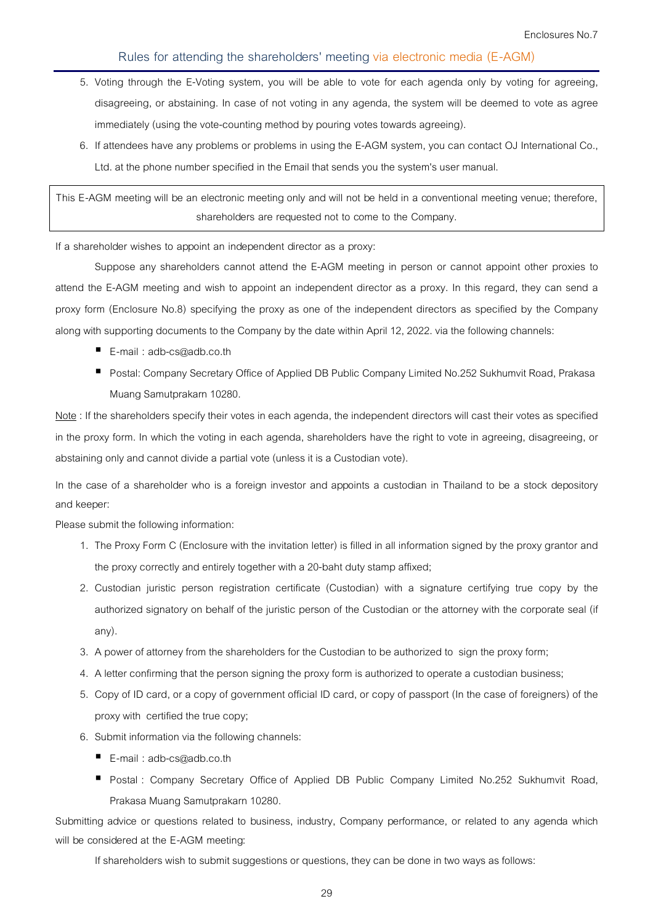- 5. Voting through the E-Voting system, you will be able to vote for each agenda only by voting for agreeing, disagreeing, or abstaining. In case of not voting in any agenda, the system will be deemed to vote as agree immediately (using the vote-counting method by pouring votes towards agreeing).
- 6. If attendees have any problems or problems in using the E-AGM system, you can contact OJ International Co., Ltd. at the phone number specified in the Email that sends you the system's user manual.

**This E-AGM meeting will be an electronic meeting only and will not be held in a conventional meeting venue; therefore, shareholders are requested not to come to the Company.** 

**If a shareholder wishes to appoint an independent director as a proxy:** 

Suppose any shareholders cannot attend the E-AGM meeting in person or cannot appoint other proxies to attend the E-AGM meeting and wish to appoint an independent director as a proxy. In this regard, they can send a proxy form (Enclosure No.8) specifying the proxy as one of the independent directors as specified by the Company along with supporting documents to the Company by the date within April 12, 2022. via the following channels:

- **E-mail :** adb-cs@adb.co.th
- **Postal:** Company Secretary Office of Applied DB Public Company Limited No.252 Sukhumvit Road, Prakasa Muang Samutprakarn 10280.

**Note:** If the shareholders specify their votes in each agenda, the independent directors will cast their votes as specified in the proxy form. In which the voting in each agenda, shareholders have the right to vote in agreeing, disagreeing, or abstaining only and cannot divide a partial vote (unless it is a Custodian vote).

**In the case of a shareholder who is a foreign investor and appoints a custodian in Thailand to be a stock depository and keeper:** 

Please submit the following information:

- 1. The Proxy Form C (Enclosure with the invitation letter) is filled in all information signed by the proxy grantor and the proxy correctly and entirely together with a 20-baht duty stamp affixed;
- 2. Custodian juristic person registration certificate (Custodian) with a signature certifying true copy by the authorized signatory on behalf of the juristic person of the Custodian or the attorney with the corporate seal (if any).
- 3. A power of attorney from the shareholders for the Custodian to be authorized to sign the proxy form;
- 4. A letter confirming that the person signing the proxy form is authorized to operate a custodian business;
- 5. Copy of ID card, or a copy of government official ID card, or copy of passport (In the case of foreigners) of the proxy with certified the true copy;
- 6. Submit information via the following channels:
	- E-mail : adb-cs@adb.co.th
	- **Postal :** Company Secretary Office of Applied DB Public Company Limited No.252 Sukhumvit Road, Prakasa Muang Samutprakarn 10280.

**Submitting advice or questions related to business, industry, Company performance, or related to any agenda which will be considered at the E-AGM meeting:** 

If shareholders wish to submit suggestions or questions, they can be done in two ways as follows: